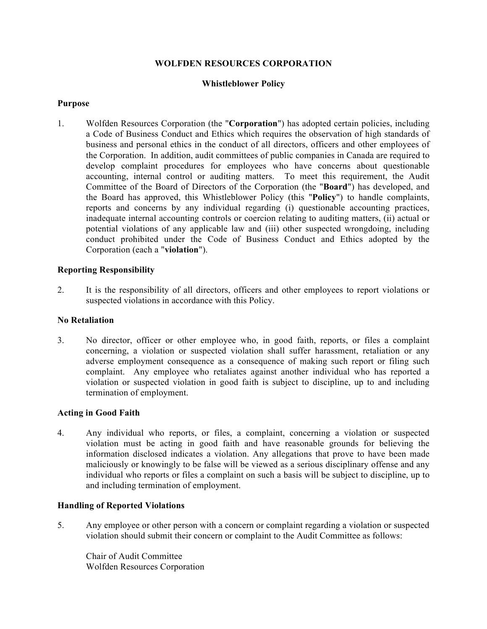# **WOLFDEN RESOURCES CORPORATION**

# **Whistleblower Policy**

## **Purpose**

1. Wolfden Resources Corporation (the "**Corporation**") has adopted certain policies, including a Code of Business Conduct and Ethics which requires the observation of high standards of business and personal ethics in the conduct of all directors, officers and other employees of the Corporation. In addition, audit committees of public companies in Canada are required to develop complaint procedures for employees who have concerns about questionable accounting, internal control or auditing matters. To meet this requirement, the Audit Committee of the Board of Directors of the Corporation (the "**Board**") has developed, and the Board has approved, this Whistleblower Policy (this "**Policy**") to handle complaints, reports and concerns by any individual regarding (i) questionable accounting practices, inadequate internal accounting controls or coercion relating to auditing matters, (ii) actual or potential violations of any applicable law and (iii) other suspected wrongdoing, including conduct prohibited under the Code of Business Conduct and Ethics adopted by the Corporation (each a "**violation**").

# **Reporting Responsibility**

2. It is the responsibility of all directors, officers and other employees to report violations or suspected violations in accordance with this Policy.

## **No Retaliation**

3. No director, officer or other employee who, in good faith, reports, or files a complaint concerning, a violation or suspected violation shall suffer harassment, retaliation or any adverse employment consequence as a consequence of making such report or filing such complaint. Any employee who retaliates against another individual who has reported a violation or suspected violation in good faith is subject to discipline, up to and including termination of employment.

## **Acting in Good Faith**

4. Any individual who reports, or files, a complaint, concerning a violation or suspected violation must be acting in good faith and have reasonable grounds for believing the information disclosed indicates a violation. Any allegations that prove to have been made maliciously or knowingly to be false will be viewed as a serious disciplinary offense and any individual who reports or files a complaint on such a basis will be subject to discipline, up to and including termination of employment.

## **Handling of Reported Violations**

5. Any employee or other person with a concern or complaint regarding a violation or suspected violation should submit their concern or complaint to the Audit Committee as follows:

Chair of Audit Committee Wolfden Resources Corporation